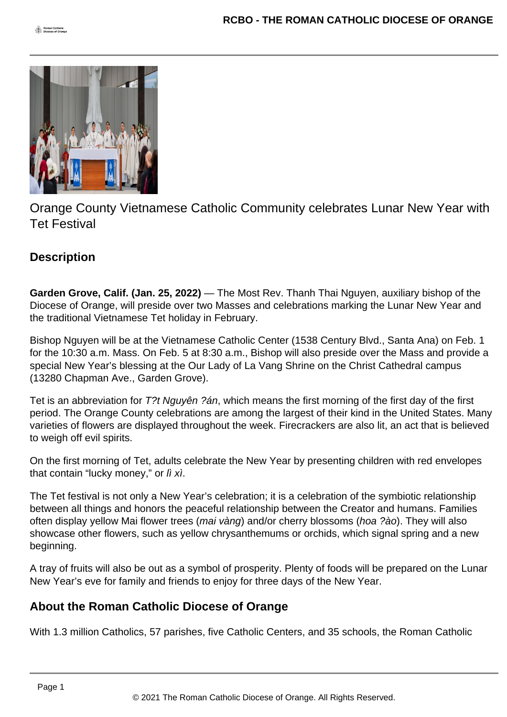

Orange County Vietnamese Catholic Community celebrates Lunar New Year with Tet Festival

## **Description**

**Garden Grove, Calif. (Jan. 25, 2022)** — The Most Rev. Thanh Thai Nguyen, auxiliary bishop of the Diocese of Orange, will preside over two Masses and celebrations marking the Lunar New Year and the traditional Vietnamese Tet holiday in February.

Bishop Nguyen will be at the Vietnamese Catholic Center (1538 Century Blvd., Santa Ana) on Feb. 1 for the 10:30 a.m. Mass. On Feb. 5 at 8:30 a.m., Bishop will also preside over the Mass and provide a special New Year's blessing at the Our Lady of La Vang Shrine on the Christ Cathedral campus (13280 Chapman Ave., Garden Grove).

Tet is an abbreviation for T?t Nguyên ?án, which means the first morning of the first day of the first period. The Orange County celebrations are among the largest of their kind in the United States. Many varieties of flowers are displayed throughout the week. Firecrackers are also lit, an act that is believed to weigh off evil spirits.

On the first morning of Tet, adults celebrate the New Year by presenting children with red envelopes that contain "lucky money," or *lì xì*.

The Tet festival is not only a New Year's celebration; it is a celebration of the symbiotic relationship between all things and honors the peaceful relationship between the Creator and humans. Families often display yellow Mai flower trees (mai vàng) and/or cherry blossoms (hoa ?ào). They will also showcase other flowers, such as yellow chrysanthemums or orchids, which signal spring and a new beginning.

A tray of fruits will also be out as a symbol of prosperity. Plenty of foods will be prepared on the Lunar New Year's eve for family and friends to enjoy for three days of the New Year.

## **About the Roman Catholic Diocese of Orange**

With 1.3 million Catholics, 57 parishes, five Catholic Centers, and 35 schools, the Roman Catholic